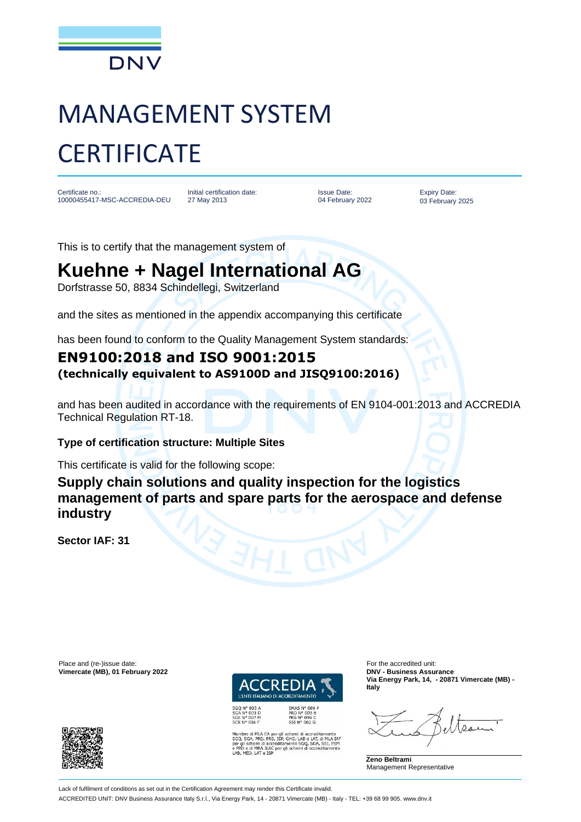

# MANAGEMENT SYSTEM **CERTIFICATE**

Certificate no.: 10000455417-MSC-ACCREDIA-DEU

Initial certification date: 27 May 2013

Issue Date: 04 February 2022

Expiry Date: 03 February 2025

This is to certify that the management system of

## **Kuehne + Nagel International AG**

Dorfstrasse 50, 8834 Schindellegi, Switzerland

and the sites as mentioned in the appendix accompanying this certificate

has been found to conform to the Quality Management System standards:

### **EN9100:2018 and ISO 9001:2015 (technically equivalent to AS9100D and JISQ9100:2016)**

and has been audited in accordance with the requirements of EN 9104-001:2013 and ACCREDIA Technical Regulation RT-18.

#### **Type of certification structure: Multiple Sites**

This certificate is valid for the following scope:

**Supply chain solutions and quality inspection for the logistics management of parts and spare parts for the aerospace and defense industry**

**Sector IAF: 31**

Place and (re-)issue date:<br> **Vimercate (MB), 01 February 2022 Contract COVID-100 COVID-2022 COVID-2022 COVID-2022 COVID-2022 COVID-2022**  $V$ imercate (MB), 01 February 2022





EMAS N° 009 P<br>PRD N° 003 B<br>PRS N° 094 C<br>SSI N° 002 G

SGQ N° 003 A<br>SGA N° 003 D<br>SGE N° 007 M<br>SCR N° 004 F

bro di MLA EA per gli schemi di accreditamento<br>SGA, PRD, PRS, ISP, GHG, LAB e LAT, di MLA IAF<br>Il schemi di accreditamento SGQ, SGA, SSI, FSM<br>D e di MRA ILAC per gli schemi di accreditamento<br>MED, LAT e ISP

**Via Energy Park, 14, - 20871 Vimercate (MB) - Italy**

**Zeno Beltrami** Management Representative

Lack of fulfilment of conditions as set out in the Certification Agreement may render this Certificate invalid. ACCREDITED UNIT: DNV Business Assurance Italy S.r.l., Via Energy Park, 14 - 20871 Vimercate (MB) - Italy - TEL: +39 68 99 905. www.dnv.it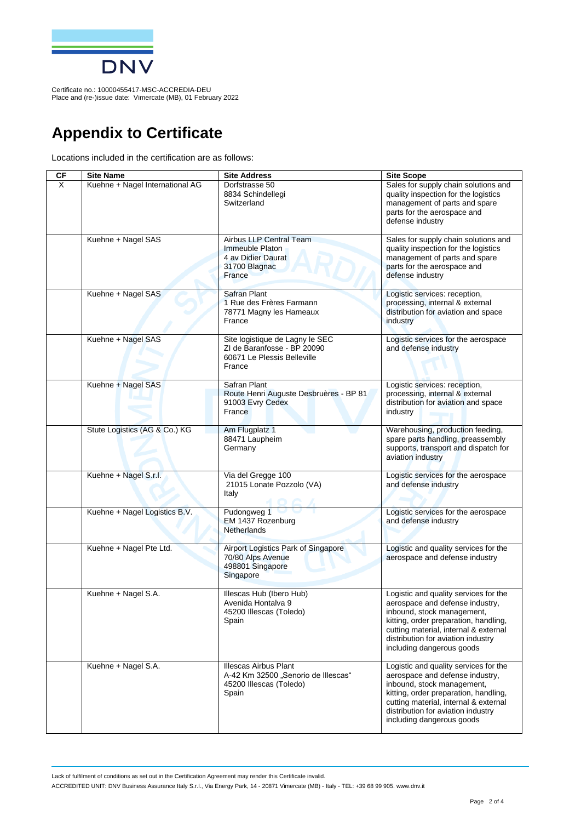

Certificate no.: 10000455417-MSC-ACCREDIA-DEU Place and (re-)issue date: Vimercate (MB), 01 February 2022

## **Appendix to Certificate**

Locations included in the certification are as follows:

| CF                      | <b>Site Name</b>                | <b>Site Address</b>                                                                                     | <b>Site Scope</b>                                                                                                                                                                                                                                           |
|-------------------------|---------------------------------|---------------------------------------------------------------------------------------------------------|-------------------------------------------------------------------------------------------------------------------------------------------------------------------------------------------------------------------------------------------------------------|
| $\overline{\mathsf{x}}$ | Kuehne + Nagel International AG | Dorfstrasse 50<br>8834 Schindellegi<br>Switzerland                                                      | Sales for supply chain solutions and<br>quality inspection for the logistics<br>management of parts and spare<br>parts for the aerospace and<br>defense industry                                                                                            |
|                         | Kuehne + Nagel SAS              | Airbus LLP Central Team<br>Immeuble Platon<br>4 av Didier Daurat<br>31700 Blagnac<br>France             | Sales for supply chain solutions and<br>quality inspection for the logistics<br>management of parts and spare<br>parts for the aerospace and<br>defense industry                                                                                            |
|                         | Kuehne + Nagel SAS              | Safran Plant<br>1 Rue des Frères Farmann<br>78771 Magny les Hameaux<br>France                           | Logistic services: reception,<br>processing, internal & external<br>distribution for aviation and space<br>industry                                                                                                                                         |
|                         | Kuehne + Nagel SAS              | Site logistique de Lagny le SEC<br>ZI de Baranfosse - BP 20090<br>60671 Le Plessis Belleville<br>France | Logistic services for the aerospace<br>and defense industry                                                                                                                                                                                                 |
|                         | Kuehne + Nagel SAS              | Safran Plant<br>Route Henri Auguste Desbruères - BP 81<br>91003 Evry Cedex<br>France                    | Logistic services: reception,<br>processing, internal & external<br>distribution for aviation and space<br>industry                                                                                                                                         |
|                         | Stute Logistics (AG & Co.) KG   | Am Flugplatz 1<br>88471 Laupheim<br>Germany                                                             | Warehousing, production feeding,<br>spare parts handling, preassembly<br>supports, transport and dispatch for<br>aviation industry                                                                                                                          |
|                         | Kuehne + Nagel S.r.l.           | Via del Gregge 100<br>21015 Lonate Pozzolo (VA)<br>Italy                                                | Logistic services for the aerospace<br>and defense industry                                                                                                                                                                                                 |
|                         | Kuehne + Nagel Logistics B.V.   | Pudongweg 1<br>EM 1437 Rozenburg<br>Netherlands                                                         | Logistic services for the aerospace<br>and defense industry                                                                                                                                                                                                 |
|                         | Kuehne + Nagel Pte Ltd.         | Airport Logistics Park of Singapore<br>70/80 Alps Avenue<br>498801 Singapore<br>Singapore               | Logistic and quality services for the<br>aerospace and defense industry                                                                                                                                                                                     |
|                         | Kuehne + Nagel S.A.             | Illescas Hub (Ibero Hub)<br>Avenida Hontalva 9<br>45200 Illescas (Toledo)<br>Spain                      | Logistic and quality services for the<br>aerospace and defense industry.<br>inbound, stock management,<br>kitting, order preparation, handling,<br>cutting material, internal & external<br>distribution for aviation industry<br>including dangerous goods |
|                         | Kuehne + Nagel S.A.             | <b>Illescas Airbus Plant</b><br>A-42 Km 32500 "Senorio de Illescas"<br>45200 Illescas (Toledo)<br>Spain | Logistic and quality services for the<br>aerospace and defense industry,<br>inbound, stock management,<br>kitting, order preparation, handling,<br>cutting material, internal & external<br>distribution for aviation industry<br>including dangerous goods |

Lack of fulfilment of conditions as set out in the Certification Agreement may render this Certificate invalid. ACCREDITED UNIT: DNV Business Assurance Italy S.r.l., Via Energy Park, 14 - 20871 Vimercate (MB) - Italy - TEL: +39 68 99 905. www.dnv.it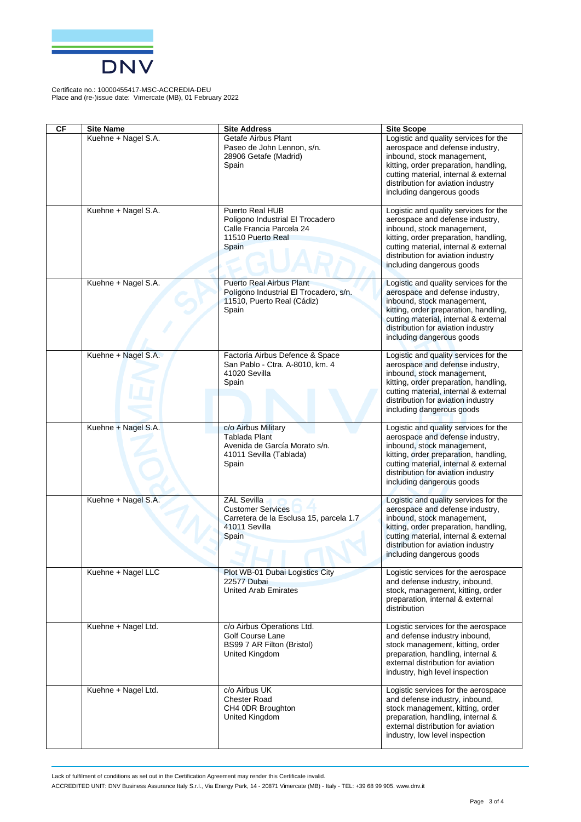

Certificate no.: 10000455417-MSC-ACCREDIA-DEU Place and (re-)issue date: Vimercate (MB), 01 February 2022

| <b>CF</b> | <b>Site Name</b>    | <b>Site Address</b>                                                                                                 |                                                                                                                                                                                                                                                                                  |
|-----------|---------------------|---------------------------------------------------------------------------------------------------------------------|----------------------------------------------------------------------------------------------------------------------------------------------------------------------------------------------------------------------------------------------------------------------------------|
|           | Kuehne + Nagel S.A. | Getafe Airbus Plant<br>Paseo de John Lennon, s/n.<br>28906 Getafe (Madrid)<br>Spain                                 | <b>Site Scope</b><br>Logistic and quality services for the<br>aerospace and defense industry,<br>inbound, stock management,<br>kitting, order preparation, handling,<br>cutting material, internal & external<br>distribution for aviation industry<br>including dangerous goods |
|           | Kuehne + Nagel S.A. | Puerto Real HUB<br>Poligono Industrial El Trocadero<br>Calle Francia Parcela 24<br>11510 Puerto Real<br>Spain       | Logistic and quality services for the<br>aerospace and defense industry,<br>inbound, stock management,<br>kitting, order preparation, handling,<br>cutting material, internal & external<br>distribution for aviation industry<br>including dangerous goods                      |
|           | Kuehne + Nagel S.A. | <b>Puerto Real Airbus Plant</b><br>Polígono Industrial El Trocadero, s/n.<br>11510, Puerto Real (Cádiz)<br>Spain    | Logistic and quality services for the<br>aerospace and defense industry,<br>inbound, stock management,<br>kitting, order preparation, handling,<br>cutting material, internal & external<br>distribution for aviation industry<br>including dangerous goods                      |
|           | Kuehne + Nagel S.A. | Factoría Airbus Defence & Space<br>San Pablo - Ctra. A-8010, km. 4<br>41020 Sevilla<br>Spain                        | Logistic and quality services for the<br>aerospace and defense industry,<br>inbound, stock management,<br>kitting, order preparation, handling,<br>cutting material, internal & external<br>distribution for aviation industry<br>including dangerous goods                      |
|           | Kuehne + Nagel S.A. | c/o Airbus Military<br><b>Tablada Plant</b><br>Avenida de García Morato s/n.<br>41011 Sevilla (Tablada)<br>Spain    | Logistic and quality services for the<br>aerospace and defense industry,<br>inbound, stock management,<br>kitting, order preparation, handling,<br>cutting material, internal & external<br>distribution for aviation industry<br>including dangerous goods                      |
|           | Kuehne + Nagel S.A. | <b>ZAL Sevilla</b><br><b>Customer Services</b><br>Carretera de la Esclusa 15, parcela 1.7<br>41011 Sevilla<br>Spain | Logistic and quality services for the<br>aerospace and defense industry,<br>inbound, stock management,<br>kitting, order preparation, handling,<br>cutting material, internal & external<br>distribution for aviation industry<br>including dangerous goods                      |
|           | Kuehne + Nagel LLC  | Plot WB-01 Dubai Logistics City<br>22577 Dubai<br><b>United Arab Emirates</b>                                       | Logistic services for the aerospace<br>and defense industry, inbound,<br>stock, management, kitting, order<br>preparation, internal & external<br>distribution                                                                                                                   |
|           | Kuehne + Nagel Ltd. | c/o Airbus Operations Ltd.<br><b>Golf Course Lane</b><br>BS99 7 AR Filton (Bristol)<br>United Kingdom               | Logistic services for the aerospace<br>and defense industry inbound,<br>stock management, kitting, order<br>preparation, handling, internal &<br>external distribution for aviation<br>industry, high level inspection                                                           |
|           | Kuehne + Nagel Ltd. | c/o Airbus UK<br><b>Chester Road</b><br>CH4 0DR Broughton<br>United Kingdom                                         | Logistic services for the aerospace<br>and defense industry, inbound,<br>stock management, kitting, order<br>preparation, handling, internal &<br>external distribution for aviation<br>industry, low level inspection                                                           |

Lack of fulfilment of conditions as set out in the Certification Agreement may render this Certificate invalid.

ACCREDITED UNIT: DNV Business Assurance Italy S.r.l., Via Energy Park, 14 - 20871 Vimercate (MB) - Italy - TEL: +39 68 99 905. www.dnv.it